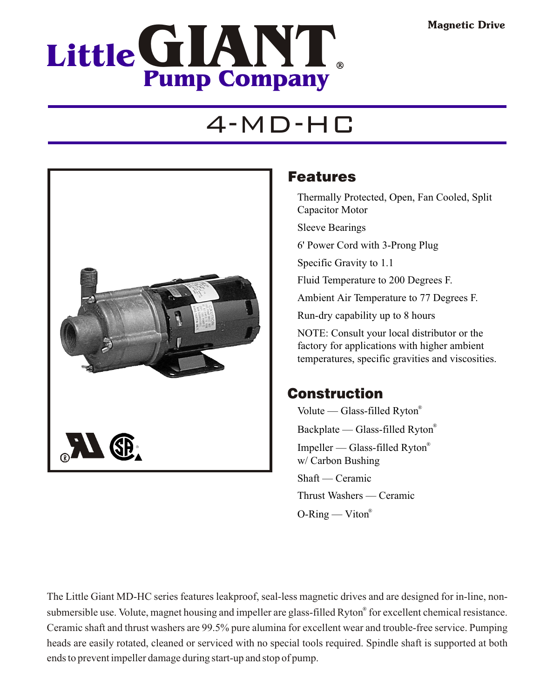

# 4-MD-HC



### Features

Thermally Protected, Open, Fan Cooled, Split Capacitor Motor

Sleeve Bearings

6' Power Cord with 3-Prong Plug

Specific Gravity to 1.1

Fluid Temperature to 200 Degrees F.

Ambient Air Temperature to 77 Degrees F.

Run-dry capability up to 8 hours

NOTE: Consult your local distributor or the factory for applications with higher ambient temperatures, specific gravities and viscosities.

### Construction

Volute — Glass-filled Ryton® Backplate — Glass-filled Ryton® Impeller — Glass-filled Ryton® w/ Carbon Bushing

Shaft — Ceramic

Thrust Washers — Ceramic

 $O-Ring$  — Viton<sup>®</sup>

The Little Giant MD-HC series features leakproof, seal-less magnetic drives and are designed for in-line, nonsubmersible use. Volute, magnet housing and impeller are glass-filled Ryton® for excellent chemical resistance. Ceramic shaft and thrust washers are 99.5% pure alumina for excellent wear and trouble-free service. Pumping heads are easily rotated, cleaned or serviced with no special tools required. Spindle shaft is supported at both ends to prevent impeller damage during start-up and stop of pump.